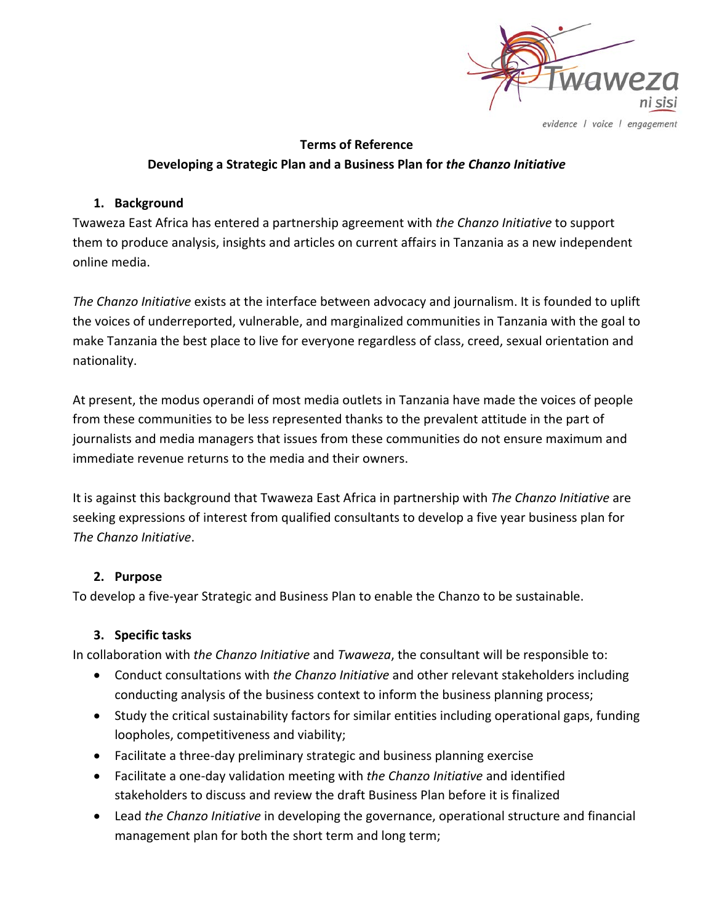

evidence | voice | engagement

# **Terms of Reference Developing a Strategic Plan and a Business Plan for** *the Chanzo Initiative*

#### **1. Background**

Twaweza East Africa has entered a partnership agreement with *the Chanzo Initiative* to support them to produce analysis, insights and articles on current affairs in Tanzania as a new independent online media.

*The Chanzo Initiative* exists at the interface between advocacy and journalism. It is founded to uplift the voices of underreported, vulnerable, and marginalized communities in Tanzania with the goal to make Tanzania the best place to live for everyone regardless of class, creed, sexual orientation and nationality.

At present, the modus operandi of most media outlets in Tanzania have made the voices of people from these communities to be less represented thanks to the prevalent attitude in the part of journalists and media managers that issues from these communities do not ensure maximum and immediate revenue returns to the media and their owners.

It is against this background that Twaweza East Africa in partnership with *The Chanzo Initiative* are seeking expressions of interest from qualified consultants to develop a five year business plan for *The Chanzo Initiative*.

# **2. Purpose**

To develop a five-year Strategic and Business Plan to enable the Chanzo to be sustainable.

# **3. Specific tasks**

In collaboration with *the Chanzo Initiative* and *Twaweza*, the consultant will be responsible to:

- Conduct consultations with *the Chanzo Initiative* and other relevant stakeholders including conducting analysis of the business context to inform the business planning process;
- Study the critical sustainability factors for similar entities including operational gaps, funding loopholes, competitiveness and viability;
- Facilitate a three-day preliminary strategic and business planning exercise
- Facilitate a one-day validation meeting with *the Chanzo Initiative* and identified stakeholders to discuss and review the draft Business Plan before it is finalized
- Lead *the Chanzo Initiative* in developing the governance, operational structure and financial management plan for both the short term and long term;